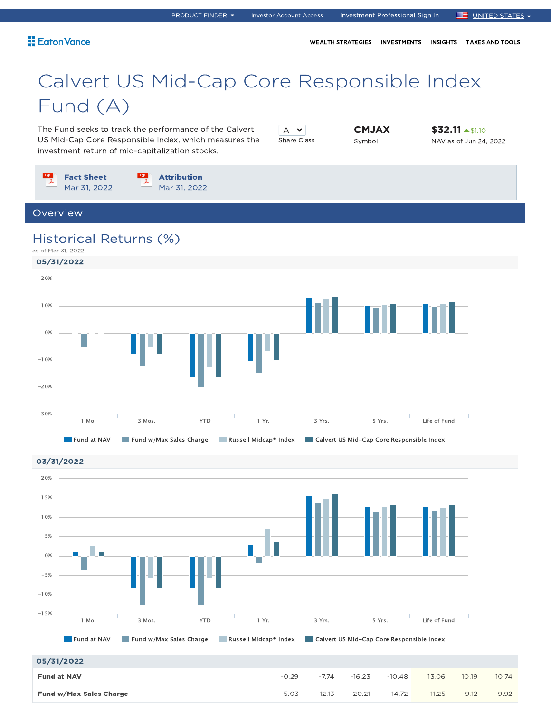WEALTH STRATEGIES INVESTMENTS INSIGHTS TAXES AND TOOLS

# Calvert US Mid-Cap Core Responsible Index Fund (A)

The Fund seeks to track the performance of the Calvert US Mid-Cap Core Responsible Index, which measures the investment return of mid-capitalization stocks.

| iare Class |  |
|------------|--|

CMJAX Symbol

\$32.11 <u>A\$1.10</u> NAV as of Jun 24, 2022

Fact Sheet Attribution Mar 31, 2022 Mar 31, 2022 Overview Historical Returns (%) as of Mar 31, 2022 05/31/2022 20% 10% 0% -10% -20% -30% 1 Mo. 3 Mos. YTD 1 Yr. 3 Yrs. 5 Yrs. Life of Fund Fund at NAV Fund w/Max Sales Charge Russell Midcap® Index Calvert US Mid-Cap Core Responsible Index 03/31/2022 20%15% 10% 5% E 0% -5% -10% -15% 1 Mo. 3 Mos. YTD 1 Yr. 3 Yrs. 5 Yrs. Life of Fund

### 05/31/2022

| 05/31/2022              |         |          |          |          |       |       |       |
|-------------------------|---------|----------|----------|----------|-------|-------|-------|
| <b>Fund at NAV</b>      | $-0.29$ | $-7.74$  | $-16.23$ | $-10.48$ | 13.06 | 10.19 | 10.74 |
| Fund w/Max Sales Charge | $-5.03$ | $-12.13$ | $-20.21$ | $-14.72$ | 11.25 | 9.12  | 9.92  |

Fund at NAV Fund w/Max Sales Charge Russell Midcap® Index Calvert US Mid-Cap Core Responsible Index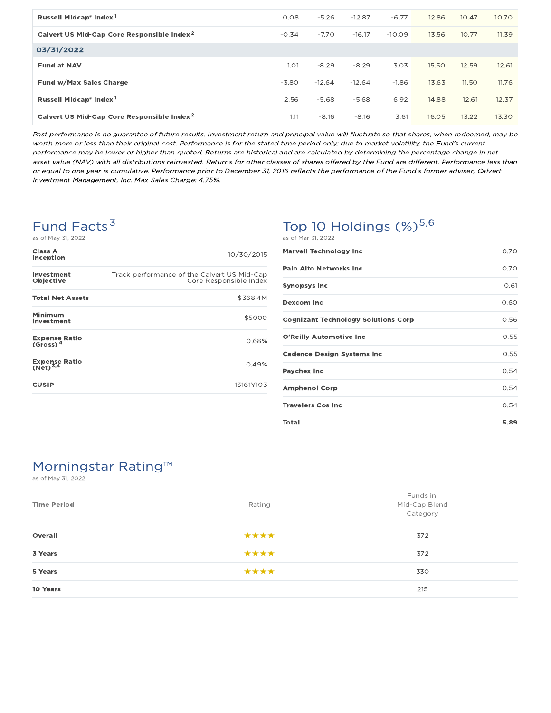| Russell Midcap <sup>®</sup> Index <sup>1</sup>         | 0.08    | $-5.26$  | $-12.87$ | $-6.77$  | 12.86 | 10.47 | 10.70 |
|--------------------------------------------------------|---------|----------|----------|----------|-------|-------|-------|
| Calvert US Mid-Cap Core Responsible Index <sup>2</sup> | $-0.34$ | $-7.70$  | $-16.17$ | $-10.09$ | 13.56 | 10.77 | 11.39 |
| 03/31/2022                                             |         |          |          |          |       |       |       |
| <b>Fund at NAV</b>                                     | 1.O1    | $-8.29$  | $-8.29$  | 3.03     | 15.50 | 12.59 | 12.61 |
| Fund w/Max Sales Charge                                | $-3.80$ | $-12.64$ | $-12.64$ | $-1.86$  | 13.63 | 11.50 | 11.76 |
| Russell Midcap <sup>®</sup> Index <sup>1</sup>         | 2.56    | $-5.68$  | $-5.68$  | 6.92     | 14.88 | 12.61 | 12.37 |
| Calvert US Mid-Cap Core Responsible Index <sup>2</sup> | 1.11    | $-8.16$  | $-8.16$  | 3.61     | 16.05 | 13.22 | 13.30 |

Past performance is no guarantee of future results. Investment return and principal value will fluctuate so that shares, when redeemed, may be worth more or less than their original cost. Performance is for the stated time period only; due to market volatility, the Fund's current performance may be lower or higher than quoted. Returns are historical and are calculated by determining the percentage change in net asset value (NAV) with all distributions reinvested. Returns for other classes of shares offered by the Fund are different. Performance less than or equal to one year is cumulative. Performance prior to December 31, 2016 reflects the performance of the Fund's former adviser, Calvert Investment Management, Inc. Max Sales Charge: 4.75%.

# Fund Facts<sup>3</sup>

as of May 31, 2022

| Class A<br>Inception                         | 10/30/2015                                                            |
|----------------------------------------------|-----------------------------------------------------------------------|
| Investment<br>Objective                      | Track performance of the Calvert US Mid-Cap<br>Core Responsible Index |
| <b>Total Net Assets</b>                      | \$368.4M                                                              |
| Minimum<br>Investment                        | \$5000                                                                |
| <b>Expense Ratio</b><br>(Gross) <sup>4</sup> | 0.68%                                                                 |
| <b>Expense Ratio</b><br>(Net) <sup>3,4</sup> | 0.49%                                                                 |
| <b>CUSIP</b>                                 | 13161Y103                                                             |

# Top 10 Holdings  $(\%)^{5,6}$

| <b>Marvell Technology Inc</b>              | 0.70 |
|--------------------------------------------|------|
| <b>Palo Alto Networks Inc</b>              | 0.70 |
| Synopsys Inc                               | 0.61 |
| <b>Dexcom Inc</b>                          | 0.60 |
| <b>Cognizant Technology Solutions Corp</b> | 0.56 |
| O'Reilly Automotive Inc                    | 0.55 |
| <b>Cadence Design Systems Inc</b>          | 0.55 |
| Paychex Inc                                | 0.54 |
| <b>Amphenol Corp</b>                       | 0.54 |
| <b>Travelers Cos Inc</b>                   | 0.54 |
| Total                                      | 5.89 |

# Morningstar Rating™

as of May 31, 2022

| <b>Time Period</b> | Rating | Funds in<br>Mid-Cap Blend<br>Category |
|--------------------|--------|---------------------------------------|
| Overall            | ****   | 372                                   |
| 3 Years            | ****   | 372                                   |
| 5 Years            | ****   | 330                                   |
| 10 Years           |        | 215                                   |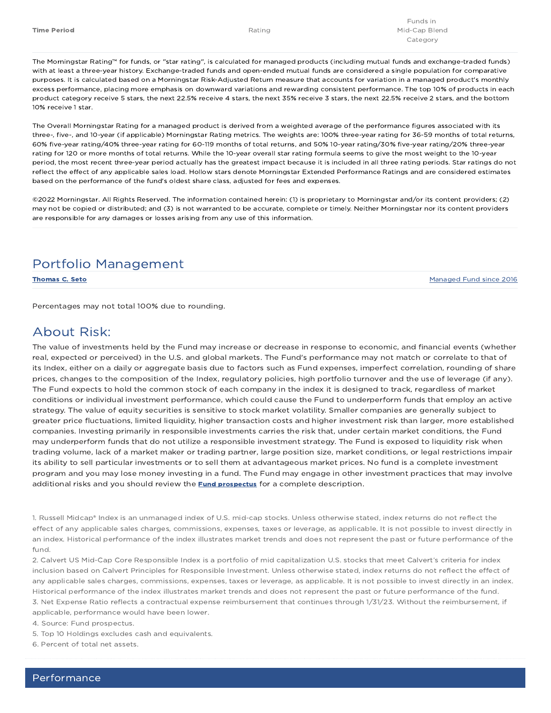The Morningstar Rating™ for funds, or "star rating", is calculated for managed products (including mutual funds and exchange-traded funds) with at least a three-year history. Exchange-traded funds and open-ended mutual funds are considered a single population for comparative purposes. It is calculated based on a Morningstar Risk-Adjusted Return measure that accounts for variation in a managed product's monthly excess performance, placing more emphasis on downward variations and rewarding consistent performance. The top 10% of products in each product category receive 5 stars, the next 22.5% receive 4 stars, the next 35% receive 3 stars, the next 22.5% receive 2 stars, and the bottom 10% receive 1 star.

The Overall Morningstar Rating for a managed product is derived from a weighted average of the performance figures associated with its three-, five-, and 10-year (if applicable) Morningstar Rating metrics. The weights are: 100% three-year rating for 36-59 months of total returns, 60% five-year rating/40% three-year rating for 60-119 months of total returns, and 50% 10-year rating/30% five-year rating/20% three-year rating for 120 or more months of total returns. While the 10-year overall star rating formula seems to give the most weight to the 10-year period, the most recent three-year period actually has the greatest impact because it is included in all three rating periods. Star ratings do not reflect the effect of any applicable sales load. Hollow stars denote Morningstar Extended Performance Ratings and are considered estimates based on the performance of the fund's oldest share class, adjusted for fees and expenses.

©2022 Morningstar. All Rights Reserved. The information contained herein: (1) is proprietary to Morningstar and/or its content providers; (2) may not be copied or distributed; and (3) is not warranted to be accurate, complete or timely. Neither Morningstar nor its content providers are responsible for any damages or losses arising from any use of this information.

### Portfolio Management

Thomas C. Seto Managed Fund since 2016

Percentages may not total 100% due to rounding.

### About Risk:

The value of investments held by the Fund may increase or decrease in response to economic, and financial events (whether real, expected or perceived) in the U.S. and global markets. The Fund's performance may not match or correlate to that of its Index, either on a daily or aggregate basis due to factors such as Fund expenses, imperfect correlation, rounding of share prices, changes to the composition of the Index, regulatory policies, high portfolio turnover and the use of leverage (if any). The Fund expects to hold the common stock of each company in the index it is designed to track, regardless of market conditions or individual investment performance, which could cause the Fund to underperform funds that employ an active strategy. The value of equity securities is sensitive to stock market volatility. Smaller companies are generally subject to greater price fluctuations, limited liquidity, higher transaction costs and higher investment risk than larger, more established companies. Investing primarily in responsible investments carries the risk that, under certain market conditions, the Fund may underperform funds that do not utilize a responsible investment strategy. The Fund is exposed to liquidity risk when trading volume, lack of a market maker or trading partner, large position size, market conditions, or legal restrictions impair its ability to sell particular investments or to sell them at advantageous market prices. No fund is a complete investment program and you may lose money investing in a fund. The Fund may engage in other investment practices that may involve additional risks and you should review the **Fund prospectus** for a complete description.

1. Russell Midcap® Index is an unmanaged index of U.S. mid-cap stocks. Unless otherwise stated, index returns do not reflect the effect of any applicable sales charges, commissions, expenses, taxes or leverage, as applicable. It is not possible to invest directly in an index. Historical performance of the index illustrates market trends and does not represent the past or future performance of the fund.

2. Calvert US Mid-Cap Core Responsible Index is a portfolio of mid capitalization U.S. stocks that meet Calvert's criteria for index inclusion based on Calvert Principles for Responsible Investment. Unless otherwise stated, index returns do not reflect the effect of any applicable sales charges, commissions, expenses, taxes or leverage, as applicable. It is not possible to invest directly in an index. Historical performance of the index illustrates market trends and does not represent the past or future performance of the fund. 3. Net Expense Ratio reflects a contractual expense reimbursement that continues through 1/31/23. Without the reimbursement, if applicable, performance would have been lower.

4. Source: Fund prospectus.

5. Top 10 Holdings excludes cash and equivalents.

6. Percent of total net assets.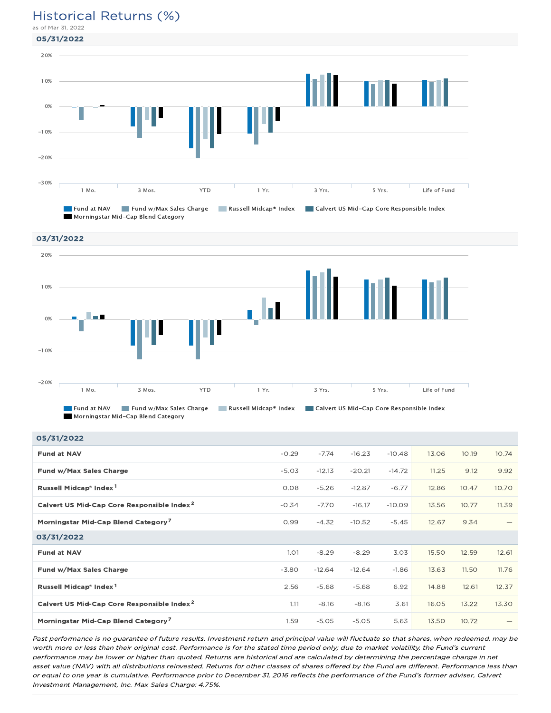### Historical Returns (%)

as of Mar 31, 2022







Morningstar Mid-Cap Blend Category

| 05/31/2022                                             |             |          |          |          |       |       |                 |
|--------------------------------------------------------|-------------|----------|----------|----------|-------|-------|-----------------|
| <b>Fund at NAV</b>                                     | $-0.29$     | $-7.74$  | $-16.23$ | $-10.48$ | 13.06 | 10.19 | 10.74           |
| Fund w/Max Sales Charge                                | $-5.03$     | $-12.13$ | $-20.21$ | $-14.72$ | 11.25 | 9.12  | 9.92            |
| Russell Midcap <sup>®</sup> Index <sup>1</sup>         | 0.08        | $-5.26$  | $-12.87$ | $-6.77$  | 12.86 | 10.47 | 10.70           |
| Calvert US Mid-Cap Core Responsible Index <sup>2</sup> | $-0.34$     | $-7.70$  | $-16.17$ | $-10.09$ | 13.56 | 10.77 | 11.39           |
| Morningstar Mid-Cap Blend Category <sup>7</sup>        | 0.99        | $-4.32$  | $-10.52$ | $-5.45$  | 12.67 | 9.34  |                 |
| 03/31/2022                                             |             |          |          |          |       |       |                 |
| <b>Fund at NAV</b>                                     | <b>1.01</b> | $-8.29$  | $-8.29$  | 3.03     | 15.50 | 12.59 | 12.61           |
| Fund w/Max Sales Charge                                | $-3.80$     | $-12.64$ | $-12.64$ | $-1.86$  | 13.63 | 11.50 | 11.76           |
| Russell Midcap <sup>®</sup> Index <sup>1</sup>         | 2.56        | $-5.68$  | $-5.68$  | 6.92     | 14.88 | 12.61 | 12.37           |
| Calvert US Mid-Cap Core Responsible Index <sup>2</sup> | 1.11        | $-8.16$  | $-8.16$  | 3.61     | 16.05 | 13.22 | 13.30           |
| Morningstar Mid-Cap Blend Category <sup>7</sup>        | 1.59        | $-5.05$  | $-5.05$  | 5.63     | 13.50 | 10.72 | $\qquad \qquad$ |

Past performance is no guarantee of future results. Investment return and principal value will fluctuate so that shares, when redeemed, may be worth more or less than their original cost. Performance is for the stated time period only; due to market volatility, the Fund's current performance may be lower or higher than quoted. Returns are historical and are calculated by determining the percentage change in net asset value (NAV) with all distributions reinvested. Returns for other classes of shares offered by the Fund are different. Performance less than or equal to one year is cumulative. Performance prior to December 31, 2016 reflects the performance of the Fund's former adviser, Calvert Investment Management, Inc. Max Sales Charge: 4.75%.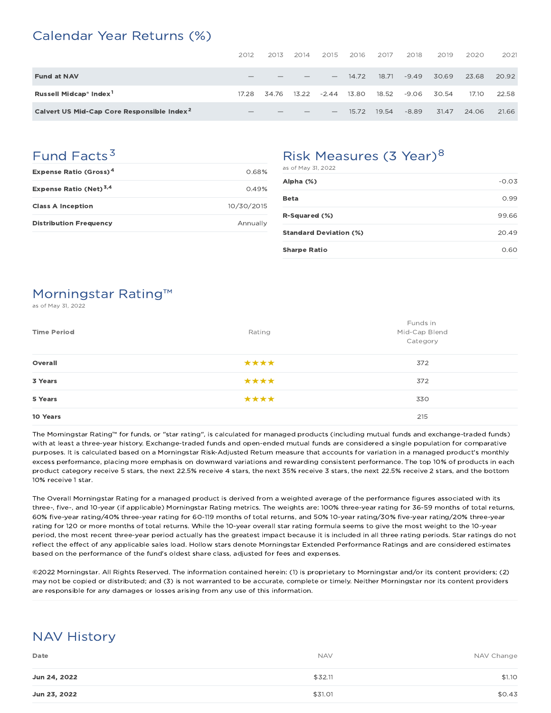### Calendar Year Returns (%)

|                                                        | 2012                            | 2013  | 2014  | 2015                            | 2016  | 2017  | 2018    | 2019  | 2020  | 2021  |
|--------------------------------------------------------|---------------------------------|-------|-------|---------------------------------|-------|-------|---------|-------|-------|-------|
| <b>Fund at NAV</b>                                     |                                 |       |       | $\overline{\phantom{0}}$        | 14.72 | 18.71 | $-9.49$ | 30.69 | 23.68 | 20.92 |
| Russell Midcap® Index <sup>1</sup>                     | 17.28                           | 34.76 | 13.22 | $-2.44$                         | 13.80 | 18.52 | $-9.06$ | 30.54 | 17.10 | 22.58 |
| Calvert US Mid-Cap Core Responsible Index <sup>2</sup> | $\hspace{0.1mm}-\hspace{0.1mm}$ |       |       | $\hspace{0.1mm}-\hspace{0.1mm}$ | 15.72 | 19.54 | $-8.89$ | 31.47 | 24.06 | 21.66 |

# Fund Facts<sup>3</sup>

| <b>Distribution Frequency</b>            | Annually   |
|------------------------------------------|------------|
| <b>Class A Inception</b>                 | 10/30/2015 |
| Expense Ratio (Net) <sup>3,4</sup>       | 0.49%      |
| <b>Expense Ratio (Gross)<sup>4</sup></b> | 0.68%      |

# Risk Measures (3 Year)<sup>8</sup>

| as of May 31, 2022            |         |
|-------------------------------|---------|
| Alpha (%)                     | $-0.03$ |
| <b>Beta</b>                   | 0.99    |
| R-Squared (%)                 | 99.66   |
| <b>Standard Deviation (%)</b> | 20.49   |
| <b>Sharpe Ratio</b>           | 0.60    |
|                               |         |

## Morningstar Rating™

as of May 31, 2022

| <b>Time Period</b> | Rating | Funds in<br>Mid-Cap Blend<br>Category |
|--------------------|--------|---------------------------------------|
| Overall            | ****   | 372                                   |
| 3 Years            | ****   | 372                                   |
| 5 Years            | ****   | 330                                   |
| 10 Years           |        | 215                                   |

The Morningstar Rating™ for funds, or "star rating", is calculated for managed products (including mutual funds and exchange-traded funds) with at least a three-year history. Exchange-traded funds and open-ended mutual funds are considered a single population for comparative purposes. It is calculated based on a Morningstar Risk-Adjusted Return measure that accounts for variation in a managed product's monthly excess performance, placing more emphasis on downward variations and rewarding consistent performance. The top 10% of products in each product category receive 5 stars, the next 22.5% receive 4 stars, the next 35% receive 3 stars, the next 22.5% receive 2 stars, and the bottom 10% receive 1 star.

The Overall Morningstar Rating for a managed product is derived from a weighted average of the performance figures associated with its three-, five-, and 10-year (if applicable) Morningstar Rating metrics. The weights are: 100% three-year rating for 36-59 months of total returns, 60% five-year rating/40% three-year rating for 60-119 months of total returns, and 50% 10-year rating/30% five-year rating/20% three-year rating for 120 or more months of total returns. While the 10-year overall star rating formula seems to give the most weight to the 10-year period, the most recent three-year period actually has the greatest impact because it is included in all three rating periods. Star ratings do not reflect the effect of any applicable sales load. Hollow stars denote Morningstar Extended Performance Ratings and are considered estimates based on the performance of the fund's oldest share class, adjusted for fees and expenses.

©2022 Morningstar. All Rights Reserved. The information contained herein: (1) is proprietary to Morningstar and/or its content providers; (2) may not be copied or distributed; and (3) is not warranted to be accurate, complete or timely. Neither Morningstar nor its content providers are responsible for any damages or losses arising from any use of this information.

# NAV History

| Date         | <b>NAV</b> | NAV Change |
|--------------|------------|------------|
| Jun 24, 2022 | \$32.11    | \$1.10     |
| Jun 23, 2022 | \$31.01    | \$0.43     |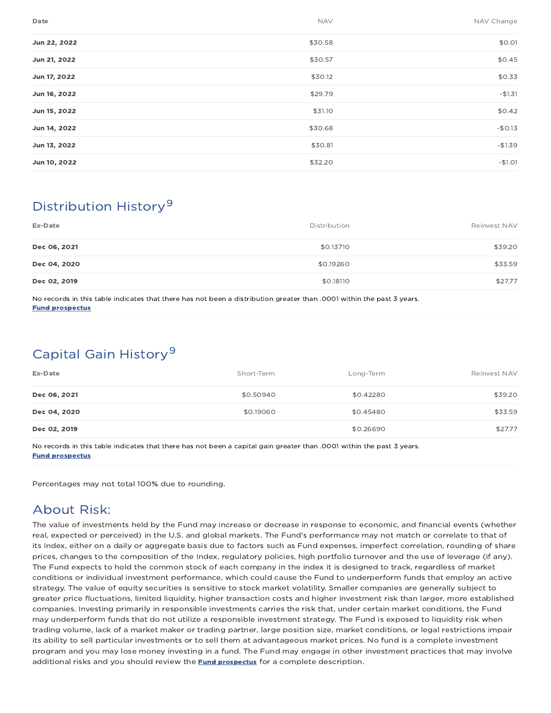| Date         | <b>NAV</b> | NAV Change |
|--------------|------------|------------|
| Jun 22, 2022 | \$30.58    | \$0.01     |
| Jun 21, 2022 | \$30.57    | \$0.45     |
| Jun 17, 2022 | \$30.12    | \$0.33     |
| Jun 16, 2022 | \$29.79    | $-$1.31$   |
| Jun 15, 2022 | \$31.10    | \$0.42     |
| Jun 14, 2022 | \$30.68    | $-$0.13$   |
| Jun 13, 2022 | \$30.81    | $-$1.39$   |
| Jun 10, 2022 | \$32.20    | $-$1.01$   |

# Distribution History 9

| Ex-Date      | Distribution | Reinvest NAV |
|--------------|--------------|--------------|
| Dec 06, 2021 | \$0.13710    | \$39.20      |
| Dec 04, 2020 | \$0.19260    | \$33.59      |
| Dec 02, 2019 | \$0.18110    | \$27.77      |

No records in this table indicates that there has not been a distribution greater than .0001 within the past 3 years. Fund prospectus

# Capital Gain History<sup>9</sup>

| Ex-Date      | Short-Term | Long-Term | Reinvest NAV |
|--------------|------------|-----------|--------------|
| Dec 06, 2021 | \$0.50940  | \$0.42280 | \$39.20      |
| Dec 04, 2020 | \$0.19060  | \$0.45480 | \$33.59      |
| Dec 02, 2019 |            | \$0.26690 | \$27.77      |

No records in this table indicates that there has not been a capital gain greater than .0001 within the past 3 years. Fund prospectus

Percentages may not total 100% due to rounding.

## About Risk:

The value of investments held by the Fund may increase or decrease in response to economic, and financial events (whether real, expected or perceived) in the U.S. and global markets. The Fund's performance may not match or correlate to that of its Index, either on a daily or aggregate basis due to factors such as Fund expenses, imperfect correlation, rounding of share prices, changes to the composition of the Index, regulatory policies, high portfolio turnover and the use of leverage (if any). The Fund expects to hold the common stock of each company in the index it is designed to track, regardless of market conditions or individual investment performance, which could cause the Fund to underperform funds that employ an active strategy. The value of equity securities is sensitive to stock market volatility. Smaller companies are generally subject to greater price fluctuations, limited liquidity, higher transaction costs and higher investment risk than larger, more established companies. Investing primarily in responsible investments carries the risk that, under certain market conditions, the Fund may underperform funds that do not utilize a responsible investment strategy. The Fund is exposed to liquidity risk when trading volume, lack of a market maker or trading partner, large position size, market conditions, or legal restrictions impair its ability to sell particular investments or to sell them at advantageous market prices. No fund is a complete investment program and you may lose money investing in a fund. The Fund may engage in other investment practices that may involve additional risks and you should review the **Fund prospectus** for a complete description.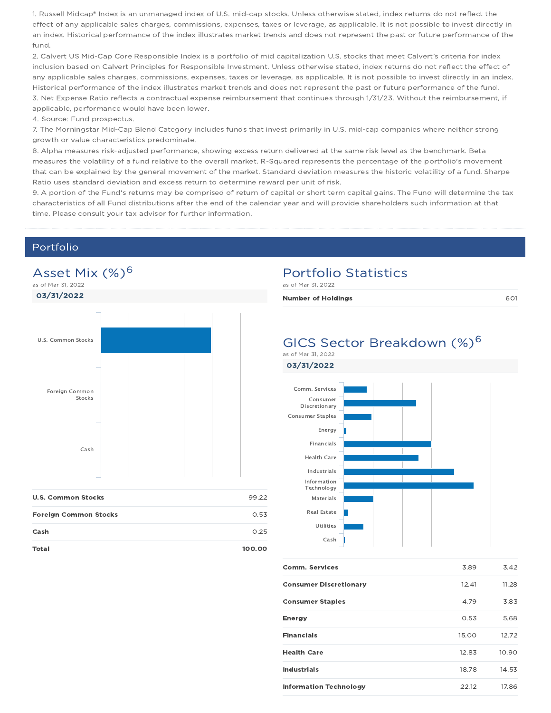1. Russell Midcap® Index is an unmanaged index of U.S. mid-cap stocks. Unless otherwise stated, index returns do not reflect the effect of any applicable sales charges, commissions, expenses, taxes or leverage, as applicable. It is not possible to invest directly in an index. Historical performance of the index illustrates market trends and does not represent the past or future performance of the fund.

2. Calvert US Mid-Cap Core Responsible Index is a portfolio of mid capitalization U.S. stocks that meet Calvert's criteria for index inclusion based on Calvert Principles for Responsible Investment. Unless otherwise stated, index returns do not reflect the effect of any applicable sales charges, commissions, expenses, taxes or leverage, as applicable. It is not possible to invest directly in an index. Historical performance of the index illustrates market trends and does not represent the past or future performance of the fund. 3. Net Expense Ratio reflects a contractual expense reimbursement that continues through 1/31/23. Without the reimbursement, if applicable, performance would have been lower.

4. Source: Fund prospectus.

7. The Morningstar Mid-Cap Blend Category includes funds that invest primarily in U.S. mid-cap companies where neither strong growth or value characteristics predominate.

8. Alpha measures risk-adjusted performance, showing excess return delivered at the same risk level as the benchmark. Beta measures the volatility of a fund relative to the overall market. R-Squared represents the percentage of the portfolio's movement that can be explained by the general movement of the market. Standard deviation measures the historic volatility of a fund. Sharpe Ratio uses standard deviation and excess return to determine reward per unit of risk.

9. A portion of the Fund's returns may be comprised of return of capital or short term capital gains. The Fund will determine the tax characteristics of all Fund distributions after the end of the calendar year and will provide shareholders such information at that time. Please consult your tax advisor for further information.

#### Portfolio



#### Total 100.00

## Portfolio Statistics

as of Mar 31, 2022

| <b>Number of Holdings</b> |  |
|---------------------------|--|
|---------------------------|--|

#### GICS Sector Breakdown (%)<sup>6</sup> as of Mar 31, 2022





| <b>Comm. Services</b>         | 3.89  | 3.42  |
|-------------------------------|-------|-------|
| <b>Consumer Discretionary</b> | 12.41 | 11.28 |
| <b>Consumer Staples</b>       | 4.79  | 3.83  |
| <b>Energy</b>                 | 0.53  | 5.68  |
| <b>Financials</b>             | 15.00 | 12.72 |
| <b>Health Care</b>            | 12.83 | 10.90 |
| <b>Industrials</b>            | 18.78 | 14.53 |
| <b>Information Technology</b> | 22.12 | 17.86 |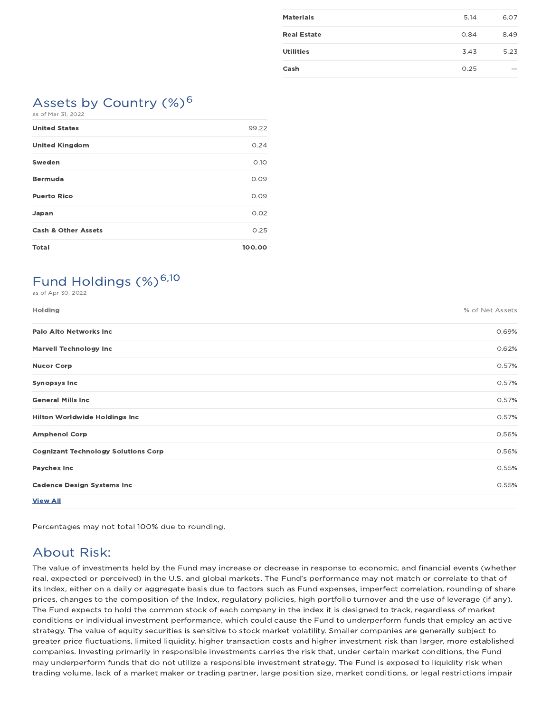| 6.07 |
|------|
|      |
| 8.49 |
| 5.23 |
|      |
|      |

# Assets by Country  $(\%)^6$

| as of Mar 31, 2022 |  |  |  |  |  |
|--------------------|--|--|--|--|--|
|--------------------|--|--|--|--|--|

| <b>United States</b>           | 99.22  |
|--------------------------------|--------|
| <b>United Kingdom</b>          | 0.24   |
| Sweden                         | O.1O   |
| <b>Bermuda</b>                 | 0.09   |
| <b>Puerto Rico</b>             | 0.09   |
| Japan                          | 0.02   |
| <b>Cash &amp; Other Assets</b> | 0.25   |
| <b>Total</b>                   | 100.00 |

# Fund Holdings (%)<sup>6,10</sup>

as of Apr 30, 2022

| <b>Holding</b>                             | % of Net Assets |
|--------------------------------------------|-----------------|
| <b>Palo Alto Networks Inc</b>              | 0.69%           |
| <b>Marvell Technology Inc</b>              | 0.62%           |
| <b>Nucor Corp</b>                          | 0.57%           |
| <b>Synopsys Inc</b>                        | 0.57%           |
| <b>General Mills Inc</b>                   | 0.57%           |
| <b>Hilton Worldwide Holdings Inc</b>       | 0.57%           |
| <b>Amphenol Corp</b>                       | 0.56%           |
| <b>Cognizant Technology Solutions Corp</b> | 0.56%           |
| Paychex Inc                                | 0.55%           |
| <b>Cadence Design Systems Inc.</b>         | 0.55%           |
| <b>View All</b>                            |                 |

Percentages may not total 100% due to rounding.

## About Risk:

The value of investments held by the Fund may increase or decrease in response to economic, and financial events (whether real, expected or perceived) in the U.S. and global markets. The Fund's performance may not match or correlate to that of its Index, either on a daily or aggregate basis due to factors such as Fund expenses, imperfect correlation, rounding of share prices, changes to the composition of the Index, regulatory policies, high portfolio turnover and the use of leverage (if any). The Fund expects to hold the common stock of each company in the index it is designed to track, regardless of market conditions or individual investment performance, which could cause the Fund to underperform funds that employ an active strategy. The value of equity securities is sensitive to stock market volatility. Smaller companies are generally subject to greater price fluctuations, limited liquidity, higher transaction costs and higher investment risk than larger, more established companies. Investing primarily in responsible investments carries the risk that, under certain market conditions, the Fund may underperform funds that do not utilize a responsible investment strategy. The Fund is exposed to liquidity risk when trading volume, lack of a market maker or trading partner, large position size, market conditions, or legal restrictions impair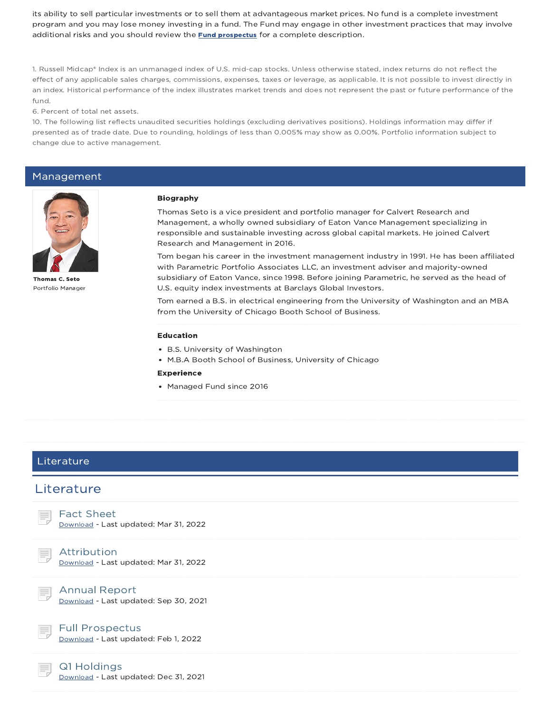its ability to sell particular investments or to sell them at advantageous market prices. No fund is a complete investment program and you may lose money investing in a fund. The Fund may engage in other investment practices that may involve additional risks and you should review the **Fund prospectus** for a complete description.

1. Russell Midcap® Index is an unmanaged index of U.S. mid-cap stocks. Unless otherwise stated, index returns do not reflect the effect of any applicable sales charges, commissions, expenses, taxes or leverage, as applicable. It is not possible to invest directly in an index. Historical performance of the index illustrates market trends and does not represent the past or future performance of the fund.

6. Percent of total net assets.

10. The following list reflects unaudited securities holdings (excluding derivatives positions). Holdings information may differ if presented as of trade date. Due to rounding, holdings of less than 0.005% may show as 0.00%. Portfolio information subject to change due to active management.

#### Management



Thomas C. Seto Portfolio Manager

#### Biography

Thomas Seto is a vice president and portfolio manager for Calvert Research and Management, a wholly owned subsidiary of Eaton Vance Management specializing in responsible and sustainable investing across global capital markets. He joined Calvert Research and Management in 2016.

Tom began his career in the investment management industry in 1991. He has been affiliated with Parametric Portfolio Associates LLC, an investment adviser and majority-owned subsidiary of Eaton Vance, since 1998. Before joining Parametric, he served as the head of U.S. equity index investments at Barclays Global Investors.

Tom earned a B.S. in electrical engineering from the University of Washington and an MBA from the University of Chicago Booth School of Business.

#### Education

- B.S. University of Washington
- M.B.A Booth School of Business, University of Chicago

#### Experience

• Managed Fund since 2016

#### Literature

#### **Literature**

Fact Sheet

Download - Last updated: Mar 31, 2022

#### Attribution

Download - Last updated: Mar 31, 2022



Annual Report Download - Last updated: Sep 30, 2021



Full Prospectus

Download - Last updated: Feb 1, 2022

#### Q1 Holdings

Download - Last updated: Dec 31, 2021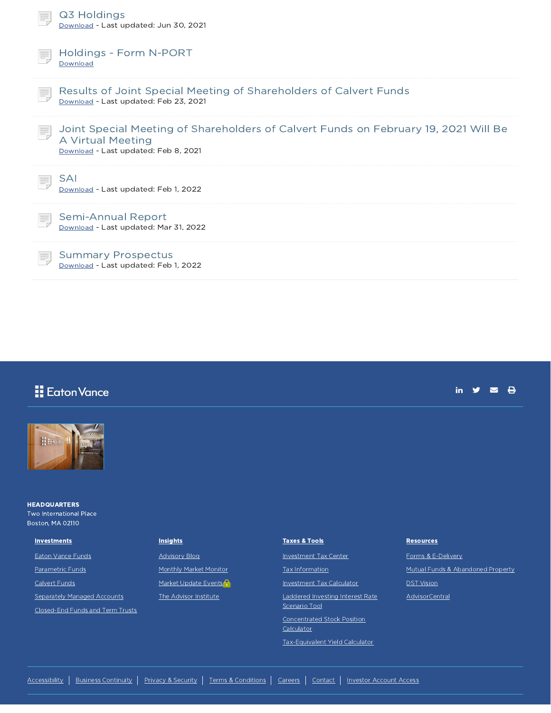|    | Q3 Holdings<br>Download - Last updated: Jun 30, 2021                                                                                             |
|----|--------------------------------------------------------------------------------------------------------------------------------------------------|
|    | Holdings - Form N-PORT<br>Download                                                                                                               |
|    | Results of Joint Special Meeting of Shareholders of Calvert Funds<br>Download - Last updated: Feb 23, 2021                                       |
|    | Joint Special Meeting of Shareholders of Calvert Funds on February 19, 2021 Will Be<br>A Virtual Meeting<br>Download - Last updated: Feb 8, 2021 |
|    | SAI<br>Download - Last updated: Feb 1, 2022                                                                                                      |
| Ħ. | Semi-Annual Report<br>Download - Last updated: Mar 31, 2022                                                                                      |
|    | <b>Summary Prospectus</b><br>Download - Last updated: Feb 1, 2022                                                                                |

## Eaton Vance

in  $y = \theta$ 



**HEADQUARTERS** Two International Place Boston, MA 02110

#### **Investments**

Eaton Vance Funds Parametric Funds Calvert Funds **Separately Managed Accounts** 

Closed-End Funds and Term Trusts

#### **Insights**

Advisory Blog

Monthly Market Monitor

Market Update Events

The Advisor Institute

#### Taxes & Tools

Investment Tax Center

Tax Information

Investment Tax Calculator

Laddered Investing Interest Rate Scenario Tool

Concentrated Stock Position

Calculator

Tax-Equivalent Yield Calculator

#### **Resources**

Forms & E-Delivery

Mutual Funds & Abandoned Property

DST Vision

**AdvisorCentral**